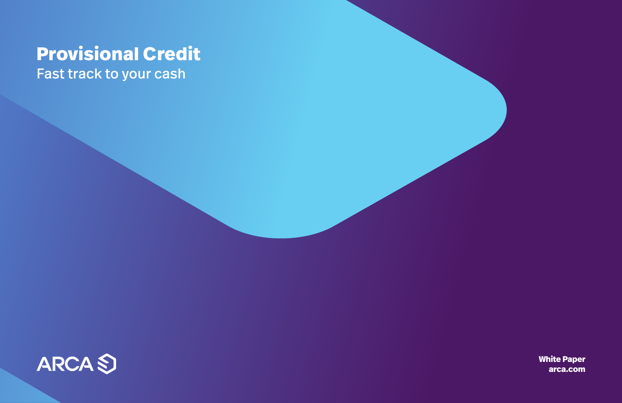# **Provisional Credit** Fast track to your cash



**White Paper [arca.com](http://arca.com)**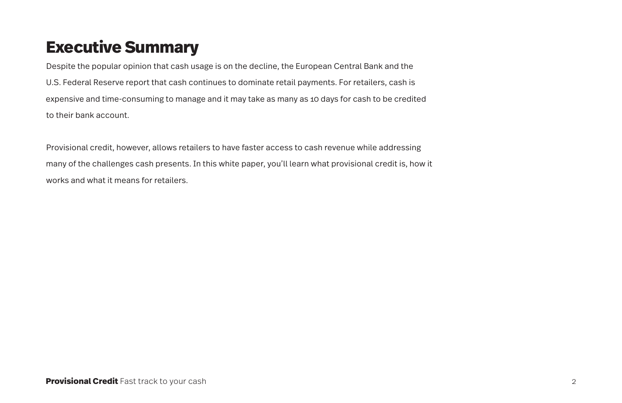# **Executive Summary**

Despite the popular opinion that cash usage is on the decline, the European Central Bank and the U.S. Federal Reserve report that cash continues to dominate retail payments. For retailers, cash is expensive and time-consuming to manage and it may take as many as 10 days for cash to be credited to their bank account.

Provisional credit, however, allows retailers to have faster access to cash revenue while addressing many of the challenges cash presents. In this white paper, you'll learn what provisional credit is, how it works and what it means for retailers.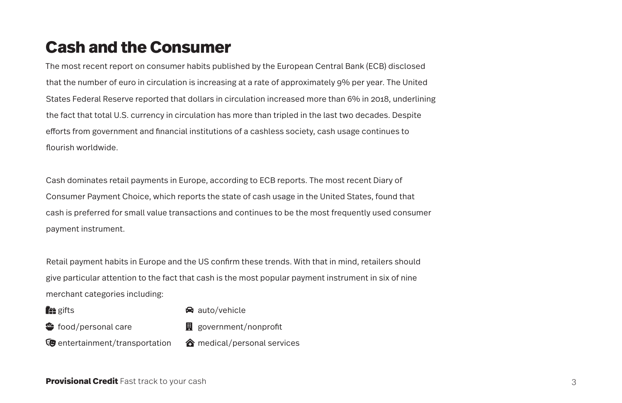## **Cash and the Consumer**

The most recent report on consumer habits published by the European Central Bank (ECB) disclosed that the number of euro in circulation is increasing at a rate of approximately 9% per year. The United States Federal Reserve reported that dollars in circulation increased more than 6% in 2018, underlining the fact that total U.S. currency in circulation has more than tripled in the last two decades. Despite efforts from government and financial institutions of a cashless society, cash usage continues to flourish worldwide.

Cash dominates retail payments in Europe, according to ECB reports. The most recent Diary of Consumer Payment Choice, which reports the state of cash usage in the United States, found that cash is preferred for small value transactions and continues to be the most frequently used consumer payment instrument.

Retail payment habits in Europe and the US confirm these trends. With that in mind, retailers should give particular attention to the fact that cash is the most popular payment instrument in six of nine merchant categories including:

**fee** gifts

 $\bigcirc$  auto/vehicle

- $\bullet$  food/personal care
- $\mathbf{H}$  government/nonprofit
- $E$  entertainment/transportation  $\hat{\mathbf{c}}$  medical/personal services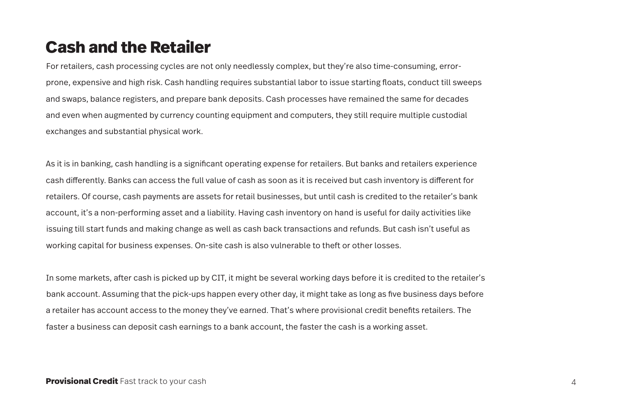### **Cash and the Retailer**

For retailers, cash processing cycles are not only needlessly complex, but they're also time-consuming, errorprone, expensive and high risk. Cash handling requires substantial labor to issue starting floats, conduct till sweeps and swaps, balance registers, and prepare bank deposits. Cash processes have remained the same for decades and even when augmented by currency counting equipment and computers, they still require multiple custodial exchanges and substantial physical work.

As it is in banking, cash handling is a significant operating expense for retailers. But banks and retailers experience cash differently. Banks can access the full value of cash as soon as it is received but cash inventory is different for retailers. Of course, cash payments are assets for retail businesses, but until cash is credited to the retailer's bank account, it's a non-performing asset and a liability. Having cash inventory on hand is useful for daily activities like issuing till start funds and making change as well as cash back transactions and refunds. But cash isn't useful as working capital for business expenses. On-site cash is also vulnerable to theft or other losses.

In some markets, after cash is picked up by CIT, it might be several working days before it is credited to the retailer's bank account. Assuming that the pick-ups happen every other day, it might take as long as five business days before a retailer has account access to the money they've earned. That's where provisional credit benefits retailers. The faster a business can deposit cash earnings to a bank account, the faster the cash is a working asset.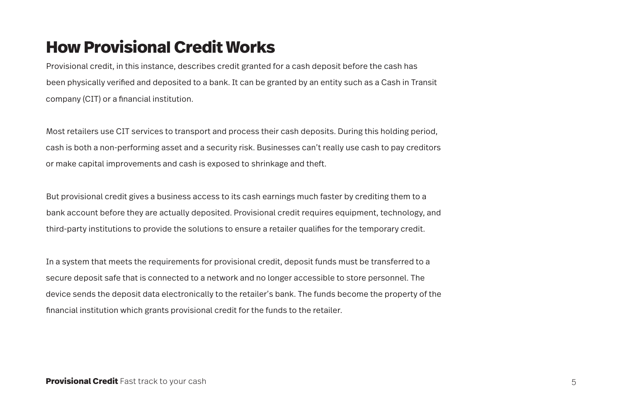## **How Provisional Credit Works**

Provisional credit, in this instance, describes credit granted for a cash deposit before the cash has been physically verified and deposited to a bank. It can be granted by an entity such as a Cash in Transit company (CIT) or a financial institution.

Most retailers use CIT services to transport and process their cash deposits. During this holding period, cash is both a non-performing asset and a security risk. Businesses can't really use cash to pay creditors or make capital improvements and cash is exposed to shrinkage and theft.

But provisional credit gives a business access to its cash earnings much faster by crediting them to a bank account before they are actually deposited. Provisional credit requires equipment, technology, and third-party institutions to provide the solutions to ensure a retailer qualifies for the temporary credit.

In a system that meets the requirements for provisional credit, deposit funds must be transferred to a secure deposit safe that is connected to a network and no longer accessible to store personnel. The device sends the deposit data electronically to the retailer's bank. The funds become the property of the financial institution which grants provisional credit for the funds to the retailer.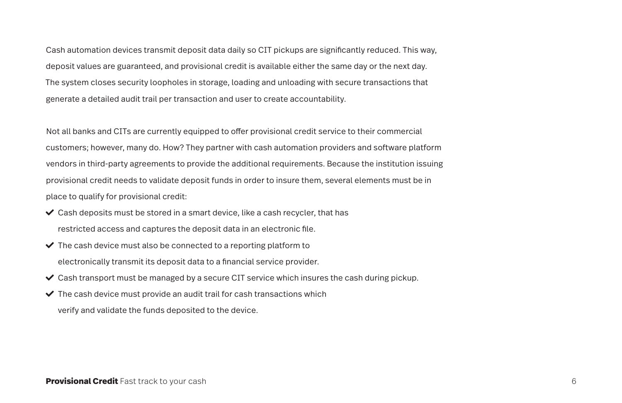Cash automation devices transmit deposit data daily so CIT pickups are significantly reduced. This way, deposit values are guaranteed, and provisional credit is available either the same day or the next day. The system closes security loopholes in storage, loading and unloading with secure transactions that generate a detailed audit trail per transaction and user to create accountability.

Not all banks and CITs are currently equipped to offer provisional credit service to their commercial customers; however, many do. How? They partner with cash automation providers and software platform vendors in third-party agreements to provide the additional requirements. Because the institution issuing provisional credit needs to validate deposit funds in order to insure them, several elements must be in place to qualify for provisional credit:

- $\checkmark$  Cash deposits must be stored in a smart device, like a cash recycler, that has restricted access and captures the deposit data in an electronic file.
- $\vee$  The cash device must also be connected to a reporting platform to electronically transmit its deposit data to a financial service provider.
- $\checkmark$  Cash transport must be managed by a secure CIT service which insures the cash during pickup.
- $\checkmark$  The cash device must provide an audit trail for cash transactions which verify and validate the funds deposited to the device.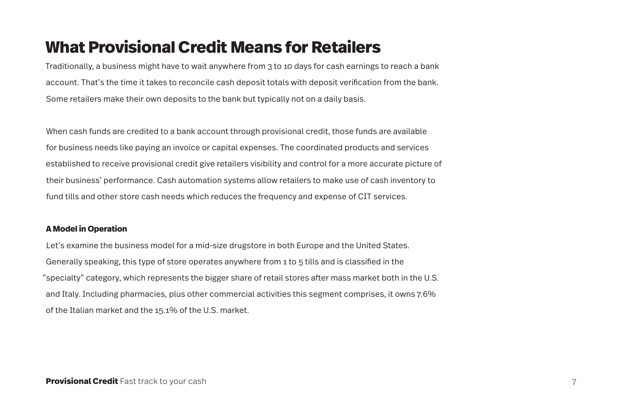## **What Provisional Credit Means for Retailers**

Traditionally, a business might have to wait anywhere from 3 to 10 days for cash earnings to reach a bank account. That's the time it takes to reconcile cash deposit totals with deposit verification from the bank. Some retailers make their own deposits to the bank but typically not on a daily basis.

When cash funds are credited to a bank account through provisional credit, those funds are available for business needs like paying an invoice or capital expenses. The coordinated products and services established to receive provisional credit give retailers visibility and control for a more accurate picture of their business' performance. Cash automation systems allow retailers to make use of cash inventory to fund tills and other store cash needs which reduces the frequency and expense of CIT services.

#### **A Model in Operation**

Let's examine the business model for a mid-size drugstore in both Europe and the United States. Generally speaking, this type of store operates anywhere from 1 to 5 tills and is classified in the "specialty" category, which represents the bigger share of retail stores after mass market both in the U.S. and Italy. Including pharmacies, plus other commercial activities this segment comprises, it owns 7.6% of the Italian market and the 15.1% of the U.S. market.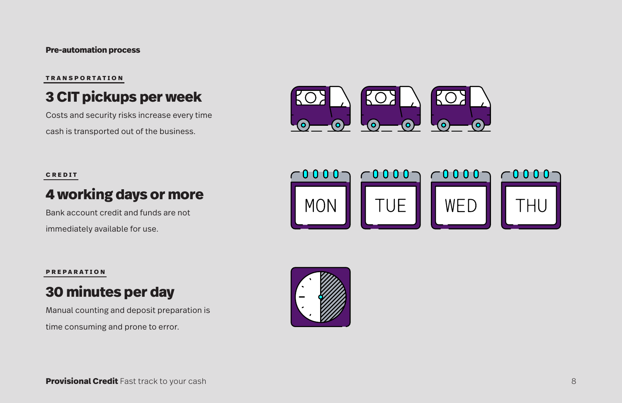### **Pre-automation process**

### **3 CIT pickups per week**

TRANSPORTATION<br> **3 CIT pickups per W**<br>
Costs and security risks increase et<br>
cash is transported out of the busin<br>
CREDIT<br> **4 WOTKing days or m**<br>
Bank account credit and funds are in<br>
mediately available for use.<br>
PREPARAT Costs and security risks increase every time cash is transported out of the business.



#### **credit**

### **4 working days or more**

Bank account credit and funds are not immediately available for use.



#### **preparation**

### **30 minutes per day**

Manual counting and deposit preparation is

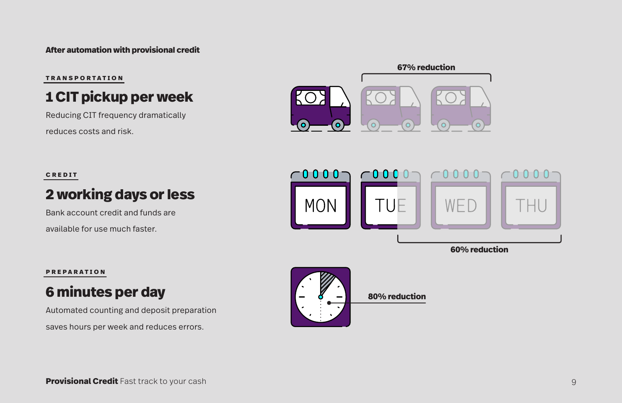### **After automation with provisional credit**

#### **T ransportation**

### **1 CIT pickup per week**

Reducing CIT frequency dramatically reduces costs and risk.

**67% reduction**

#### **credit**

### **2 working days or less**

Bank account credit and funds are available for use much faster.



#### **preparation**

### **6 minutes per day**

Automated counting and deposit preparation saves hours per week and reduces errors.

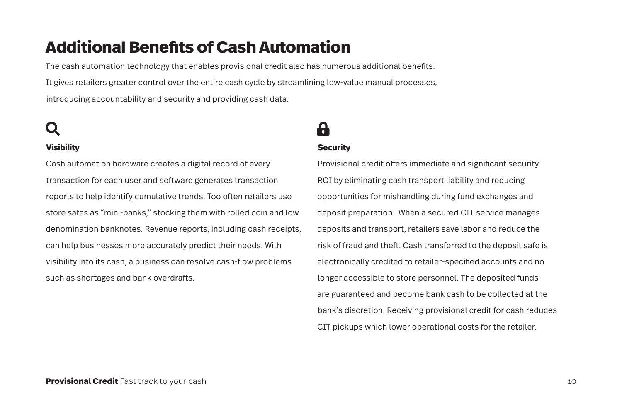## **Additional Benefits of Cash Automation**

The cash automation technology that enables provisional credit also has numerous additional benefits. It gives retailers greater control over the entire cash cycle by streamlining low-value manual processes, introducing accountability and security and providing cash data.

# search lock-alt

### **Visibility**

Cash automation hardware creates a digital record of every transaction for each user and software generates transaction reports to help identify cumulative trends. Too often retailers use store safes as "mini-banks," stocking them with rolled coin and low denomination banknotes. Revenue reports, including cash receipts, can help businesses more accurately predict their needs. With visibility into its cash, a business can resolve cash-flow problems such as shortages and bank overdrafts.

### **Security**

Provisional credit offers immediate and significant security ROI by eliminating cash transport liability and reducing opportunities for mishandling during fund exchanges and deposit preparation. When a secured CIT service manages deposits and transport, retailers save labor and reduce the risk of fraud and theft. Cash transferred to the deposit safe is electronically credited to retailer-specified accounts and no longer accessible to store personnel. The deposited funds are guaranteed and become bank cash to be collected at the bank's discretion. Receiving provisional credit for cash reduces CIT pickups which lower operational costs for the retailer.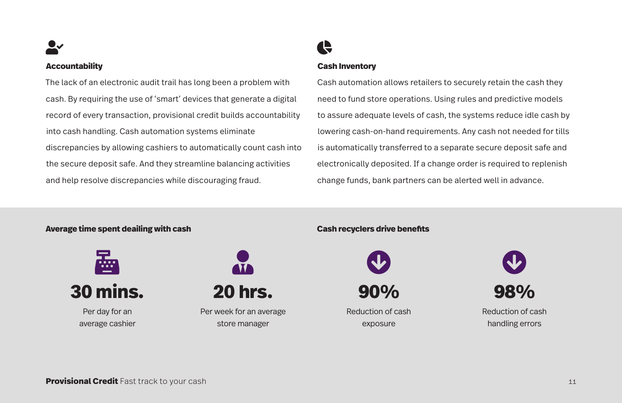user-check chart-pier-check chart-pier-check chart-pier-check chart-pier-check chart-pier-check check

#### **Accountability**

The lack of an electronic audit trail has long been a problem with cash. By requiring the use of 'smart' devices that generate a digital record of every transaction, provisional credit builds accountability into cash handling. Cash automation systems eliminate discrepancies by allowing cashiers to automatically count cash into the secure deposit safe. And they streamline balancing activities and help resolve discrepancies while discouraging fraud.

#### **Cash Inventory**

Cash automation allows retailers to securely retain the cash they need to fund store operations. Using rules and predictive models to assure adequate levels of cash, the systems reduce idle cash by lowering cash-on-hand requirements. Any cash not needed for tills is automatically transferred to a separate secure deposit safe and electronically deposited. If a change order is required to replenish change funds, bank partners can be alerted well in advance.

### **Average time spent deailing with cash Cash recyclers drive benefits**





Per day for an average cashier



**20 hrs.**

Per week for an average store manager



**90%**

Reduction of cash exposure



Reduction of cash handling errors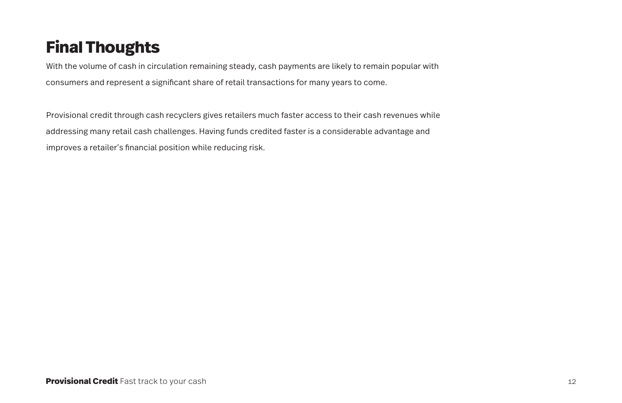# **Final Thoughts**

With the volume of cash in circulation remaining steady, cash payments are likely to remain popular with consumers and represent a significant share of retail transactions for many years to come.

Provisional credit through cash recyclers gives retailers much faster access to their cash revenues while addressing many retail cash challenges. Having funds credited faster is a considerable advantage and improves a retailer's financial position while reducing risk.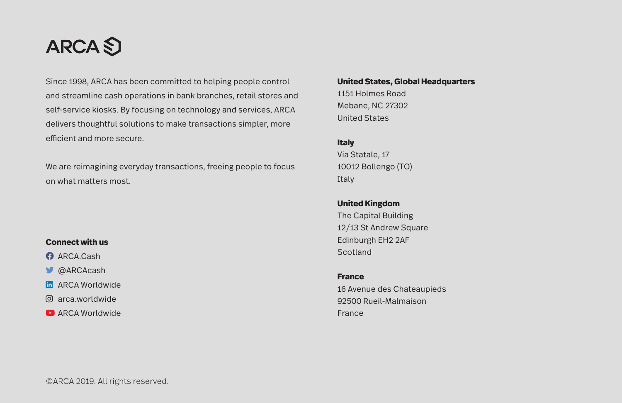

Since 1998, ARCA has been committed to helping people control and streamline cash operations in bank branches, retail stores and self-service kiosks. By focusing on technology and services, ARCA delivers thoughtful solutions to make transactions simpler, more efficient and more secure.

We are reimagining everyday transactions, freeing people to focus on what matters most.

### **Connect with us**

- **f**aRCA.Cash
- $\blacksquare$  @ARCAcash
- **In ARCA Worldwide**
- $@$  arca.worldwide
- $\blacksquare$  ARCA Worldwide

#### **United States, Global Headquarters**

1151 Holmes Road Mebane, NC 27302 United States

#### **Italy**

Via Statale, 17 10012 Bollengo (TO) Italy

**United Kingdom** The Capital Building 12/13 St Andrew Square Edinburgh EH2 2AF **Scotland** 

#### **France**

16 Avenue des Chateaupieds 92500 Rueil-Malmaison France